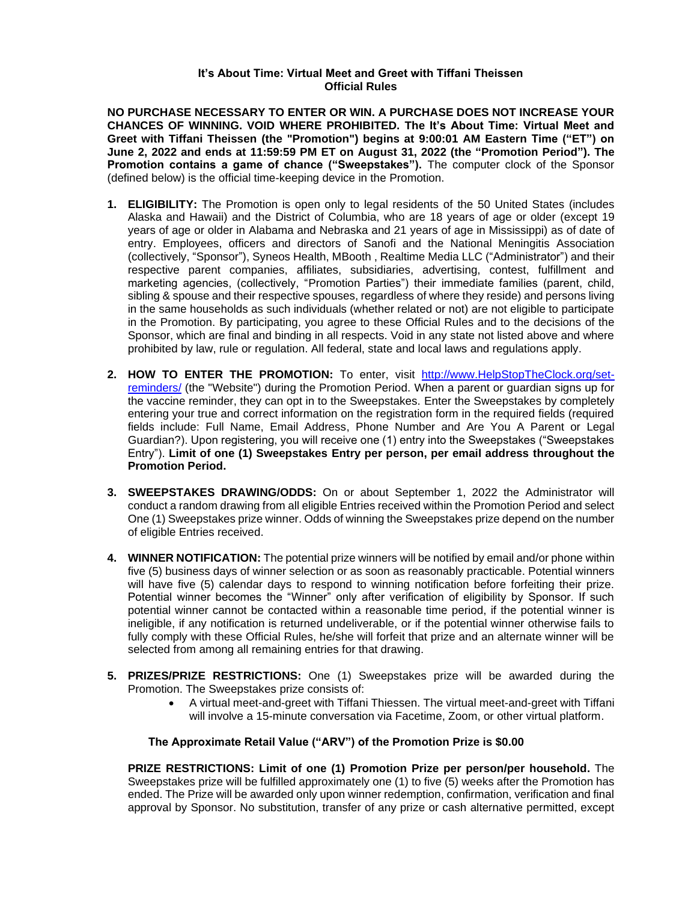## **It's About Time: Virtual Meet and Greet with Tiffani Theissen Official Rules**

**NO PURCHASE NECESSARY TO ENTER OR WIN. A PURCHASE DOES NOT INCREASE YOUR CHANCES OF WINNING. VOID WHERE PROHIBITED. The It's About Time: Virtual Meet and Greet with Tiffani Theissen (the "Promotion") begins at 9:00:01 AM Eastern Time ("ET") on June 2, 2022 and ends at 11:59:59 PM ET on August 31, 2022 (the "Promotion Period"). The Promotion contains a game of chance ("Sweepstakes").** The computer clock of the Sponsor (defined below) is the official time-keeping device in the Promotion.

- **1. ELIGIBILITY:** The Promotion is open only to legal residents of the 50 United States (includes Alaska and Hawaii) and the District of Columbia, who are 18 years of age or older (except 19 years of age or older in Alabama and Nebraska and 21 years of age in Mississippi) as of date of entry. Employees, officers and directors of Sanofi and the National Meningitis Association (collectively, "Sponsor"), Syneos Health, MBooth , Realtime Media LLC ("Administrator") and their respective parent companies, affiliates, subsidiaries, advertising, contest, fulfillment and marketing agencies, (collectively, "Promotion Parties") their immediate families (parent, child, sibling & spouse and their respective spouses, regardless of where they reside) and persons living in the same households as such individuals (whether related or not) are not eligible to participate in the Promotion. By participating, you agree to these Official Rules and to the decisions of the Sponsor, which are final and binding in all respects. Void in any state not listed above and where prohibited by law, rule or regulation. All federal, state and local laws and regulations apply.
- **2. HOW TO ENTER THE PROMOTION:** To enter, visit [http://www.HelpStopTheClock.org/set](https://www.helpstoptheclock.org/set-reminders/)[reminders/](https://www.helpstoptheclock.org/set-reminders/) (the "Website") during the Promotion Period. When a parent or guardian signs up for the vaccine reminder, they can opt in to the Sweepstakes. Enter the Sweepstakes by completely entering your true and correct information on the registration form in the required fields (required fields include: Full Name, Email Address, Phone Number and Are You A Parent or Legal Guardian?). Upon registering, you will receive one (1) entry into the Sweepstakes ("Sweepstakes Entry"). **Limit of one (1) Sweepstakes Entry per person, per email address throughout the Promotion Period.**
- **3. SWEEPSTAKES DRAWING/ODDS:** On or about September 1, 2022 the Administrator will conduct a random drawing from all eligible Entries received within the Promotion Period and select One (1) Sweepstakes prize winner. Odds of winning the Sweepstakes prize depend on the number of eligible Entries received.
- **4. WINNER NOTIFICATION:** The potential prize winners will be notified by email and/or phone within five (5) business days of winner selection or as soon as reasonably practicable. Potential winners will have five (5) calendar days to respond to winning notification before forfeiting their prize. Potential winner becomes the "Winner" only after verification of eligibility by Sponsor. If such potential winner cannot be contacted within a reasonable time period, if the potential winner is ineligible, if any notification is returned undeliverable, or if the potential winner otherwise fails to fully comply with these Official Rules, he/she will forfeit that prize and an alternate winner will be selected from among all remaining entries for that drawing.
- **5. PRIZES/PRIZE RESTRICTIONS:** One (1) Sweepstakes prize will be awarded during the Promotion. The Sweepstakes prize consists of:
	- A virtual meet-and-greet with Tiffani Thiessen. The virtual meet-and-greet with Tiffani will involve a 15-minute conversation via Facetime, Zoom, or other virtual platform.

## **The Approximate Retail Value ("ARV") of the Promotion Prize is \$0.00**

**PRIZE RESTRICTIONS: Limit of one (1) Promotion Prize per person/per household.** The Sweepstakes prize will be fulfilled approximately one (1) to five (5) weeks after the Promotion has ended. The Prize will be awarded only upon winner redemption, confirmation, verification and final approval by Sponsor. No substitution, transfer of any prize or cash alternative permitted, except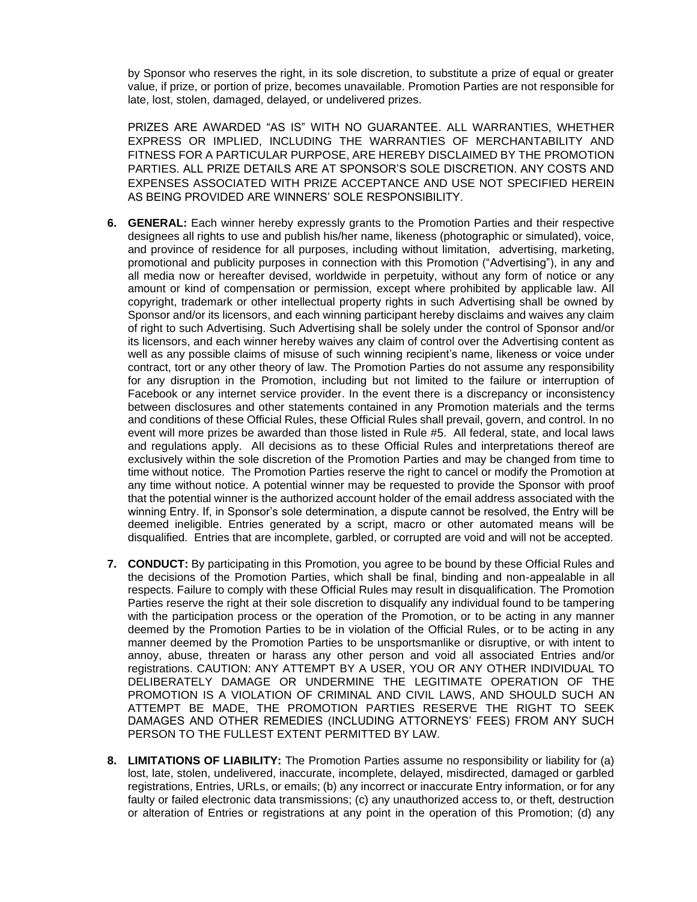by Sponsor who reserves the right, in its sole discretion, to substitute a prize of equal or greater value, if prize, or portion of prize, becomes unavailable. Promotion Parties are not responsible for late, lost, stolen, damaged, delayed, or undelivered prizes.

PRIZES ARE AWARDED "AS IS" WITH NO GUARANTEE. ALL WARRANTIES, WHETHER EXPRESS OR IMPLIED, INCLUDING THE WARRANTIES OF MERCHANTABILITY AND FITNESS FOR A PARTICULAR PURPOSE, ARE HEREBY DISCLAIMED BY THE PROMOTION PARTIES. ALL PRIZE DETAILS ARE AT SPONSOR'S SOLE DISCRETION. ANY COSTS AND EXPENSES ASSOCIATED WITH PRIZE ACCEPTANCE AND USE NOT SPECIFIED HEREIN AS BEING PROVIDED ARE WINNERS' SOLE RESPONSIBILITY.

- **6. GENERAL:** Each winner hereby expressly grants to the Promotion Parties and their respective designees all rights to use and publish his/her name, likeness (photographic or simulated), voice, and province of residence for all purposes, including without limitation, advertising, marketing, promotional and publicity purposes in connection with this Promotion ("Advertising"), in any and all media now or hereafter devised, worldwide in perpetuity, without any form of notice or any amount or kind of compensation or permission, except where prohibited by applicable law. All copyright, trademark or other intellectual property rights in such Advertising shall be owned by Sponsor and/or its licensors, and each winning participant hereby disclaims and waives any claim of right to such Advertising. Such Advertising shall be solely under the control of Sponsor and/or its licensors, and each winner hereby waives any claim of control over the Advertising content as well as any possible claims of misuse of such winning recipient's name, likeness or voice under contract, tort or any other theory of law. The Promotion Parties do not assume any responsibility for any disruption in the Promotion, including but not limited to the failure or interruption of Facebook or any internet service provider. In the event there is a discrepancy or inconsistency between disclosures and other statements contained in any Promotion materials and the terms and conditions of these Official Rules, these Official Rules shall prevail, govern, and control. In no event will more prizes be awarded than those listed in Rule #5. All federal, state, and local laws and regulations apply. All decisions as to these Official Rules and interpretations thereof are exclusively within the sole discretion of the Promotion Parties and may be changed from time to time without notice. The Promotion Parties reserve the right to cancel or modify the Promotion at any time without notice. A potential winner may be requested to provide the Sponsor with proof that the potential winner is the authorized account holder of the email address associated with the winning Entry. If, in Sponsor's sole determination, a dispute cannot be resolved, the Entry will be deemed ineligible. Entries generated by a script, macro or other automated means will be disqualified. Entries that are incomplete, garbled, or corrupted are void and will not be accepted.
- **7. CONDUCT:** By participating in this Promotion, you agree to be bound by these Official Rules and the decisions of the Promotion Parties, which shall be final, binding and non-appealable in all respects. Failure to comply with these Official Rules may result in disqualification. The Promotion Parties reserve the right at their sole discretion to disqualify any individual found to be tampering with the participation process or the operation of the Promotion, or to be acting in any manner deemed by the Promotion Parties to be in violation of the Official Rules, or to be acting in any manner deemed by the Promotion Parties to be unsportsmanlike or disruptive, or with intent to annoy, abuse, threaten or harass any other person and void all associated Entries and/or registrations. CAUTION: ANY ATTEMPT BY A USER, YOU OR ANY OTHER INDIVIDUAL TO DELIBERATELY DAMAGE OR UNDERMINE THE LEGITIMATE OPERATION OF THE PROMOTION IS A VIOLATION OF CRIMINAL AND CIVIL LAWS, AND SHOULD SUCH AN ATTEMPT BE MADE, THE PROMOTION PARTIES RESERVE THE RIGHT TO SEEK DAMAGES AND OTHER REMEDIES (INCLUDING ATTORNEYS' FEES) FROM ANY SUCH PERSON TO THE FULLEST EXTENT PERMITTED BY LAW.
- **8. LIMITATIONS OF LIABILITY:** The Promotion Parties assume no responsibility or liability for (a) lost, late, stolen, undelivered, inaccurate, incomplete, delayed, misdirected, damaged or garbled registrations, Entries, URLs, or emails; (b) any incorrect or inaccurate Entry information, or for any faulty or failed electronic data transmissions; (c) any unauthorized access to, or theft, destruction or alteration of Entries or registrations at any point in the operation of this Promotion; (d) any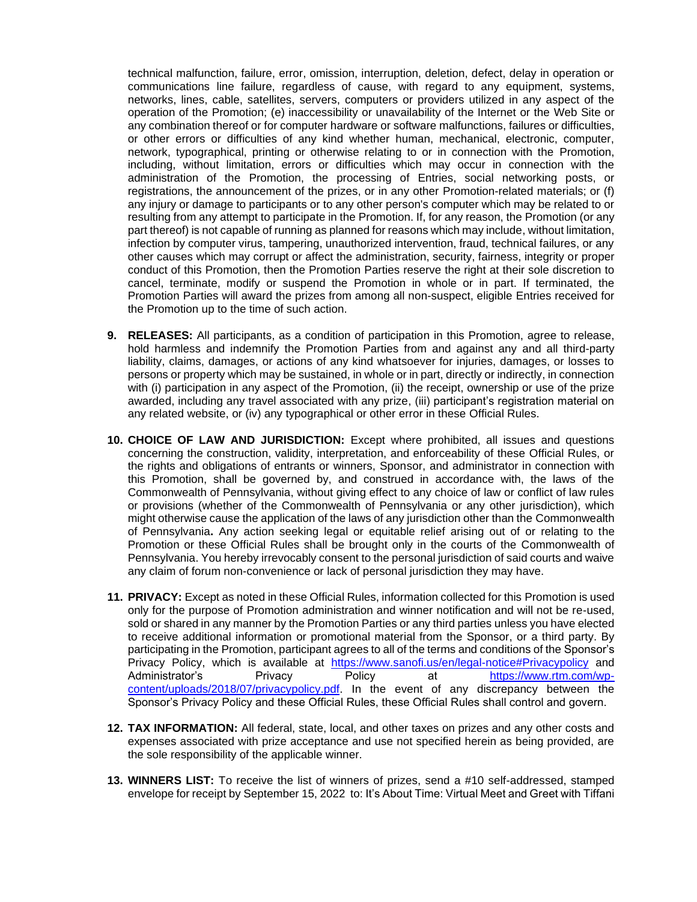technical malfunction, failure, error, omission, interruption, deletion, defect, delay in operation or communications line failure, regardless of cause, with regard to any equipment, systems, networks, lines, cable, satellites, servers, computers or providers utilized in any aspect of the operation of the Promotion; (e) inaccessibility or unavailability of the Internet or the Web Site or any combination thereof or for computer hardware or software malfunctions, failures or difficulties, or other errors or difficulties of any kind whether human, mechanical, electronic, computer, network, typographical, printing or otherwise relating to or in connection with the Promotion, including, without limitation, errors or difficulties which may occur in connection with the administration of the Promotion, the processing of Entries, social networking posts, or registrations, the announcement of the prizes, or in any other Promotion-related materials; or (f) any injury or damage to participants or to any other person's computer which may be related to or resulting from any attempt to participate in the Promotion. If, for any reason, the Promotion (or any part thereof) is not capable of running as planned for reasons which may include, without limitation, infection by computer virus, tampering, unauthorized intervention, fraud, technical failures, or any other causes which may corrupt or affect the administration, security, fairness, integrity or proper conduct of this Promotion, then the Promotion Parties reserve the right at their sole discretion to cancel, terminate, modify or suspend the Promotion in whole or in part. If terminated, the Promotion Parties will award the prizes from among all non-suspect, eligible Entries received for the Promotion up to the time of such action.

- **9. RELEASES:** All participants, as a condition of participation in this Promotion, agree to release, hold harmless and indemnify the Promotion Parties from and against any and all third-party liability, claims, damages, or actions of any kind whatsoever for injuries, damages, or losses to persons or property which may be sustained, in whole or in part, directly or indirectly, in connection with (i) participation in any aspect of the Promotion, (ii) the receipt, ownership or use of the prize awarded, including any travel associated with any prize, (iii) participant's registration material on any related website, or (iv) any typographical or other error in these Official Rules.
- **10. CHOICE OF LAW AND JURISDICTION:** Except where prohibited, all issues and questions concerning the construction, validity, interpretation, and enforceability of these Official Rules, or the rights and obligations of entrants or winners, Sponsor, and administrator in connection with this Promotion, shall be governed by, and construed in accordance with, the laws of the Commonwealth of Pennsylvania, without giving effect to any choice of law or conflict of law rules or provisions (whether of the Commonwealth of Pennsylvania or any other jurisdiction), which might otherwise cause the application of the laws of any jurisdiction other than the Commonwealth of Pennsylvania**.** Any action seeking legal or equitable relief arising out of or relating to the Promotion or these Official Rules shall be brought only in the courts of the Commonwealth of Pennsylvania. You hereby irrevocably consent to the personal jurisdiction of said courts and waive any claim of forum non-convenience or lack of personal jurisdiction they may have.
- **11. PRIVACY:** Except as noted in these Official Rules, information collected for this Promotion is used only for the purpose of Promotion administration and winner notification and will not be re-used, sold or shared in any manner by the Promotion Parties or any third parties unless you have elected to receive additional information or promotional material from the Sponsor, or a third party. By participating in the Promotion, participant agrees to all of the terms and conditions of the Sponsor's Privacy Policy, which is available at https://www.sanofi.us/en/legal-notice#Privacypolicy and Administrator's Privacy Policy at https://www.rtm.com/wpcontent/uploads/2018/07/privacypolicy.pdf. In the event of any discrepancy between the Sponsor's Privacy Policy and these Official Rules, these Official Rules shall control and govern.
- **12. TAX INFORMATION:** All federal, state, local, and other taxes on prizes and any other costs and expenses associated with prize acceptance and use not specified herein as being provided, are the sole responsibility of the applicable winner.
- **13. WINNERS LIST:** To receive the list of winners of prizes, send a #10 self-addressed, stamped envelope for receipt by September 15, 2022 to: It's About Time: Virtual Meet and Greet with Tiffani